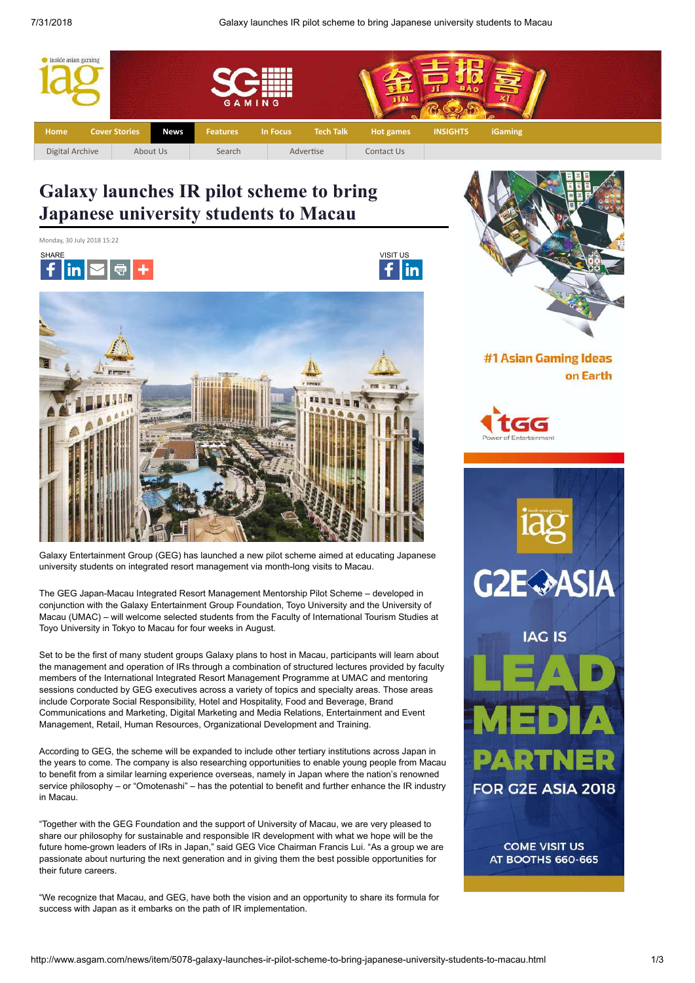lin



# **Galaxy launches IR pilot scheme to bring Japanese university students to Macau**







Galaxy Entertainment Group (GEG) has launched a new pilot scheme aimed at educating Japanese university students on integrated resort management via month-long visits to Macau.

The GEG Japan-Macau Integrated Resort Management Mentorship Pilot Scheme – developed in conjunction with the Galaxy Entertainment Group Foundation, Toyo University and the University of Macau (UMAC) – will welcome selected students from the Faculty of International Tourism Studies at Toyo University in Tokyo to Macau for four weeks in August.

Set to be the first of many student groups Galaxy plans to host in Macau, participants will learn about the management and operation of IRs through a combination of structured lectures provided by faculty members of the International Integrated Resort Management Programme at UMAC and mentoring sessions conducted by GEG executives across a variety of topics and specialty areas. Those areas include Corporate Social Responsibility, Hotel and Hospitality, Food and Beverage, Brand Communications and Marketing, Digital Marketing and Media Relations, Entertainment and Event Management, Retail, Human Resources, Organizational Development and Training.

According to GEG, the scheme will be expanded to include other tertiary institutions across Japan in the years to come. The company is also researching opportunities to enable young people from Macau to benefit from a similar learning experience overseas, namely in Japan where the nation's renowned service philosophy – or "Omotenashi" – has the potential to benefit and further enhance the IR industry in Macau.

"Together with the GEG Foundation and the support of University of Macau, we are very pleased to share our philosophy for sustainable and responsible IR development with what we hope will be the future home-grown leaders of IRs in Japan," said GEG Vice Chairman Francis Lui. "As a group we are passionate about nurturing the next generation and in giving them the best possible opportunities for their future careers.

"We recognize that Macau, and GEG, have both the vision and an opportunity to share its formula for success with Japan as it embarks on the path of IR implementation.



#1 Asian Gaming Ideas on Earth



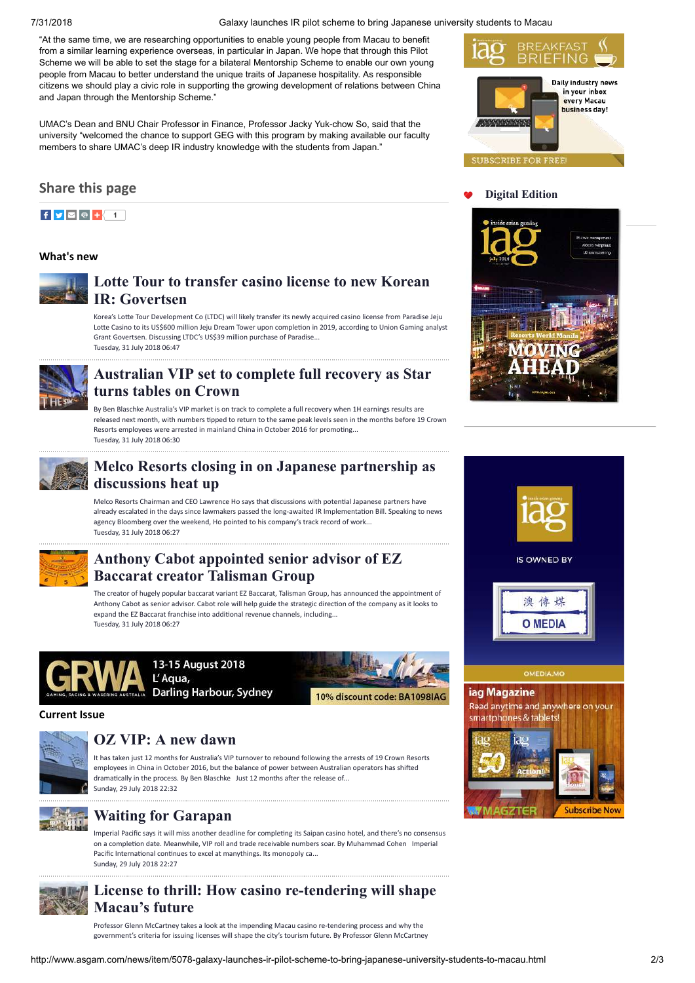7/31/2018 Galaxy launches IR pilot scheme to bring Japanese university students to Macau

"At the same time, we are researching opportunities to enable young people from Macau to benefit from a similar learning experience overseas, in particular in Japan. We hope that through this Pilot Scheme we will be able to set the stage for a bilateral Mentorship Scheme to enable our own young people from Macau to better understand the unique traits of Japanese hospitality. As responsible citizens we should play a civic role in supporting the growing development of relations between China and Japan through the Mentorship Scheme."

UMAC's Dean and BNU Chair Professor in Finance, Professor Jacky Yuk-chow So, said that the university "welcomed the chance to support GEG with this program by making available our faculty members to share UMAC's deep IR industry knowledge with the students from Japan."

#### **Share this page**



#### **What's new**



### **[Lotte Tour to transfer casino license to new Korean](http://www.asgam.com/news/item/5083-lotte-tour-to-transfer-casino-license-to-new-korean-ir-govertsen.html) IR: Govertsen**

Korea's Lotte Tour Development Co (LTDC) will likely transfer its newly acquired casino license from Paradise Jeju Lotte Casino to its US\$600 million Jeju Dream Tower upon completion in 2019, according to Union Gaming analyst Grant Govertsen. Discussing LTDC's US\$39 million purchase of Paradise... Tuesday, 31 July 2018 06:47



#### **[Australian VIP set to complete full recovery as Star](http://www.asgam.com/news/item/5082-australian-vip-set-to-complete-full-recovery-as-star-turns-tables-on-crown.html) turns tables on Crown**

By Ben Blaschke Australia's VIP market is on track to complete a full recovery when 1H earnings results are released next month, with numbers tipped to return to the same peak levels seen in the months before 19 Crown Resorts employees were arrested in mainland China in October 2016 for promoting... Tuesday, 31 July 2018 06:30



#### **[Melco Resorts closing in on Japanese partnership as](http://www.asgam.com/news/item/5081-melco-resorts-closing-in-on-japanese-partnership-as-discussions-heat-up.html) discussions heat up**

Melco Resorts Chairman and CEO Lawrence Ho says that discussions with potential Japanese partners have already escalated in the days since lawmakers passed the long-awaited IR Implementation Bill. Speaking to news agency Bloomberg over the weekend, Ho pointed to his company's track record of work... Tuesday, 31 July 2018 06:27



#### **[Anthony Cabot appointed senior advisor of EZ](http://www.asgam.com/news/item/5080-anthony-cabot-appointed-senior-advisor-of-ez-baccarat-creator-talisman-group.html) Baccarat creator Talisman Group**

The creator of hugely popular baccarat variant EZ Baccarat, Talisman Group, has announced the appointment of Anthony Cabot as senior advisor. Cabot role will help guide the strategic direction of the company as it looks to expand the EZ Baccarat franchise into additional revenue channels, including... Tuesday, 31 July 2018 06:27



13-15 August 2018 L'Aqua, Darling Harbour, Sydney



**Current Issue**



#### **[OZ VIP: A new dawn](http://www.asgam.com/cover-stories/item/5072-oz-vip-a-new-dawn.html)**

It has taken just 12 months for Australia's VIP turnover to rebound following the arrests of 19 Crown Resorts employees in China in October 2016, but the balance of power between Australian operators has shifted dramatically in the process. By Ben Blaschke Just 12 months after the release of... Sunday, 29 July 2018 22:32



## **[Waiting for Garapan](http://www.asgam.com/cover-stories/item/5071-waiting-for-garapan.html)**

Imperial Pacific says it will miss another deadline for completing its Saipan casino hotel, and there's no consensus on a completion date. Meanwhile, VIP roll and trade receivable numbers soar. By Muhammad Cohen Imperial Pacific International continues to excel at manythings. Its monopoly ca... Sunday, 29 July 2018 22:27



# **[License to thrill: How casino re-tendering will shape](http://www.asgam.com/cover-stories/item/5070-license-to-thrill-how-casino-re-tendering-will-shape-macau%E2%80%99s-future.html) Macau's future**

Professor Glenn McCartney takes a look at the impending Macau casino re-tendering process and why the government's criteria for issuing licenses will shape the city's tourism future. By Professor Glenn McCartney





#### **[Digital Edition](http://www.asgam.com/mags/201807/)**